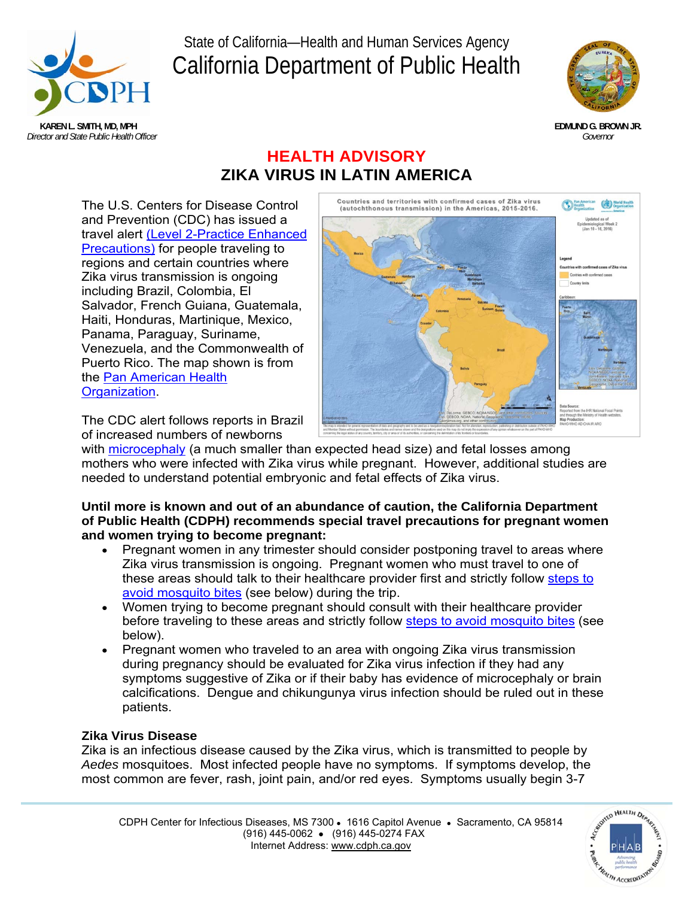

# State of California—Health and Human Services Agency California Department of Public Health



# **HEALTH ADVISORY ZIKA VIRUS IN LATIN AMERICA**

The U.S. Centers for Disease Control and Prevention (CDC) has issued a travel alert (Level 2-Practice Enhanced Precautions) for people traveling to regions and certain countries where Zika virus transmission is ongoing including Brazil, Colombia, El Salvador, French Guiana, Guatemala, Haiti, Honduras, Martinique, Mexico, Panama, Paraguay, Suriname, Venezuela, and the Commonwealth of Puerto Rico. The map shown is from the Pan American Health Organization.



The CDC alert follows reports in Brazil of increased numbers of newborns

with microcephaly (a much smaller than expected head size) and fetal losses among mothers who were infected with Zika virus while pregnant. However, additional studies are needed to understand potential embryonic and fetal effects of Zika virus.

### **Until more is known and out of an abundance of caution, the California Department of Public Health (CDPH) recommends special travel precautions for pregnant women and women trying to become pregnant:**

- Pregnant women in any trimester should consider postponing travel to areas where Zika virus transmission is ongoing. Pregnant women who must travel to one of these areas should talk to their healthcare provider first and strictly follow steps to avoid mosquito bites (see below) during the trip.
- Women trying to become pregnant should consult with their healthcare provider before traveling to these areas and strictly follow steps to avoid mosquito bites (see below).
- Pregnant women who traveled to an area with ongoing Zika virus transmission during pregnancy should be evaluated for Zika virus infection if they had any symptoms suggestive of Zika or if their baby has evidence of microcephaly or brain calcifications. Dengue and chikungunya virus infection should be ruled out in these patients.

## **Zika Virus Disease**

Zika is an infectious disease caused by the Zika virus, which is transmitted to people by *Aedes* mosquitoes. Most infected people have no symptoms. If symptoms develop, the most common are fever, rash, joint pain, and/or red eyes. Symptoms usually begin 3-7

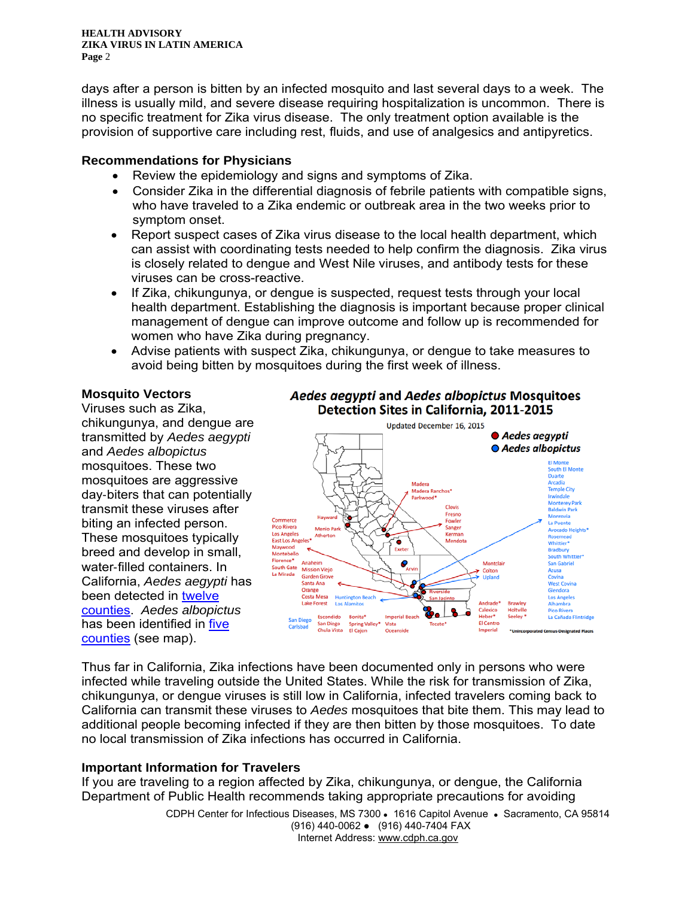**HEALTH ADVISORY ZIKA VIRUS IN LATIN AMERICA Page** 2

days after a person is bitten by an infected mosquito and last several days to a week. The illness is usually mild, and severe disease requiring hospitalization is uncommon. There is no specific treatment for Zika virus disease. The only treatment option available is the provision of supportive care including rest, fluids, and use of analgesics and antipyretics.

#### **Recommendations for Physicians**

- Review the epidemiology and signs and symptoms of Zika.
- Consider Zika in the differential diagnosis of febrile patients with compatible signs, who have traveled to a Zika endemic or outbreak area in the two weeks prior to symptom onset.
- Report suspect cases of Zika virus disease to the local health department, which can assist with coordinating tests needed to help confirm the diagnosis. Zika virus is closely related to dengue and West Nile viruses, and antibody tests for these viruses can be cross-reactive.
- If Zika, chikungunya, or dengue is suspected, request tests through your local health department. Establishing the diagnosis is important because proper clinical management of dengue can improve outcome and follow up is recommended for women who have Zika during pregnancy.
- Advise patients with suspect Zika, chikungunya, or dengue to take measures to avoid being bitten by mosquitoes during the first week of illness.

#### **Mosquito Vectors**

Viruses such as Zika, chikungunya, and dengue are transmitted by *Aedes aegypti* and *Aedes albopictus* mosquitoes. These two mosquitoes are aggressive day‐biters that can potentially transmit these viruses after biting an infected person. These mosquitoes typically breed and develop in small, water‐filled containers. In California, *Aedes aegypti* has been detected in twelve counties. *Aedes albopictus* has been identified in five counties (see map).





Thus far in California, Zika infections have been documented only in persons who were infected while traveling outside the United States. While the risk for transmission of Zika, chikungunya, or dengue viruses is still low in California, infected travelers coming back to California can transmit these viruses to *Aedes* mosquitoes that bite them. This may lead to additional people becoming infected if they are then bitten by those mosquitoes. To date no local transmission of Zika infections has occurred in California.

#### **Important Information for Travelers**

If you are traveling to a region affected by Zika, chikungunya, or dengue, the California Department of Public Health recommends taking appropriate precautions for avoiding

> CDPH Center for Infectious Diseases, MS 7300 . 1616 Capitol Avenue . Sacramento, CA 95814 (916) 440-0062 ● (916) 440-7404 FAX Internet Address: www.cdph.ca.gov